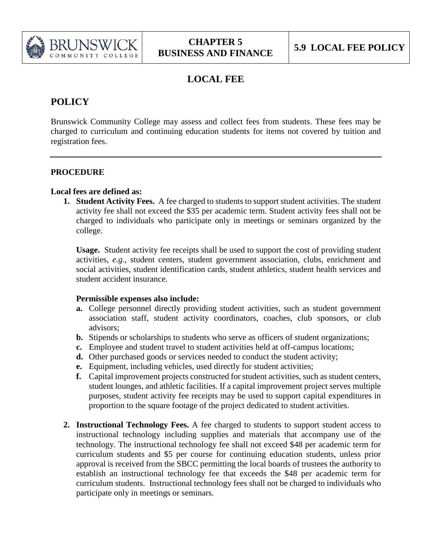

## **LOCAL FEE**

# **POLICY**

Brunswick Community College may assess and collect fees from students. These fees may be charged to curriculum and continuing education students for items not covered by tuition and registration fees.

## **PROCEDURE**

### **Local fees are defined as:**

**1. Student Activity Fees.** A fee charged to students to support student activities. The student activity fee shall not exceed the \$35 per academic term. Student activity fees shall not be charged to individuals who participate only in meetings or seminars organized by the college.

**Usage.** Student activity fee receipts shall be used to support the cost of providing student activities, *e.g.*, student centers, student government association, clubs, enrichment and social activities, student identification cards, student athletics, student health services and student accident insurance.

### **Permissible expenses also include:**

- **a.** College personnel directly providing student activities, such as student government association staff, student activity coordinators, coaches, club sponsors, or club advisors;
- **b.** Stipends or scholarships to students who serve as officers of student organizations;
- **c.** Employee and student travel to student activities held at off-campus locations;
- **d.** Other purchased goods or services needed to conduct the student activity;
- **e.** Equipment, including vehicles, used directly for student activities;
- **f.** Capital improvement projects constructed for student activities, such as student centers, student lounges, and athletic facilities. If a capital improvement project serves multiple purposes, student activity fee receipts may be used to support capital expenditures in proportion to the square footage of the project dedicated to student activities.
- **2. Instructional Technology Fees.** A fee charged to students to support student access to instructional technology including supplies and materials that accompany use of the technology. The instructional technology fee shall not exceed \$48 per academic term for curriculum students and \$5 per course for continuing education students, unless prior approval is received from the SBCC permitting the local boards of trustees the authority to establish an instructional technology fee that exceeds the \$48 per academic term for curriculum students. Instructional technology fees shall not be charged to individuals who participate only in meetings or seminars.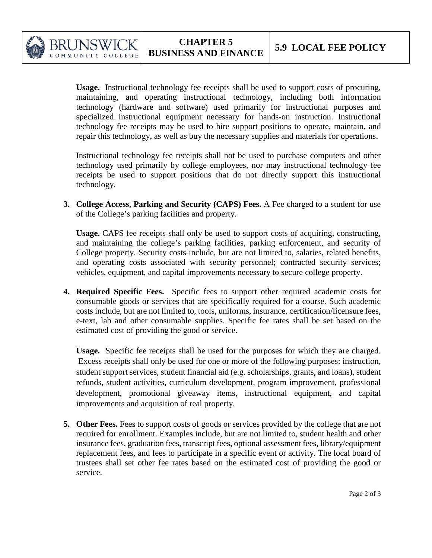

COLLEGE

**Usage.** Instructional technology fee receipts shall be used to support costs of procuring, maintaining, and operating instructional technology, including both information technology (hardware and software) used primarily for instructional purposes and specialized instructional equipment necessary for hands-on instruction. Instructional technology fee receipts may be used to hire support positions to operate, maintain, and repair this technology, as well as buy the necessary supplies and materials for operations.

Instructional technology fee receipts shall not be used to purchase computers and other technology used primarily by college employees, nor may instructional technology fee receipts be used to support positions that do not directly support this instructional technology.

**3. College Access, Parking and Security (CAPS) Fees.** A Fee charged to a student for use of the College's parking facilities and property.

**Usage.** CAPS fee receipts shall only be used to support costs of acquiring, constructing, and maintaining the college's parking facilities, parking enforcement, and security of College property. Security costs include, but are not limited to, salaries, related benefits, and operating costs associated with security personnel; contracted security services; vehicles, equipment, and capital improvements necessary to secure college property.

**4. Required Specific Fees.** Specific fees to support other required academic costs for consumable goods or services that are specifically required for a course. Such academic costs include, but are not limited to, tools, uniforms, insurance, certification/licensure fees, e-text, lab and other consumable supplies. Specific fee rates shall be set based on the estimated cost of providing the good or service.

**Usage.** Specific fee receipts shall be used for the purposes for which they are charged. Excess receipts shall only be used for one or more of the following purposes: instruction, student support services, student financial aid (e.g. scholarships, grants, and loans), student refunds, student activities, curriculum development, program improvement, professional development, promotional giveaway items, instructional equipment, and capital improvements and acquisition of real property.

**5. Other Fees.** Fees to support costs of goods or services provided by the college that are not required for enrollment. Examples include, but are not limited to, student health and other insurance fees, graduation fees, transcript fees, optional assessment fees, library/equipment replacement fees, and fees to participate in a specific event or activity. The local board of trustees shall set other fee rates based on the estimated cost of providing the good or service.